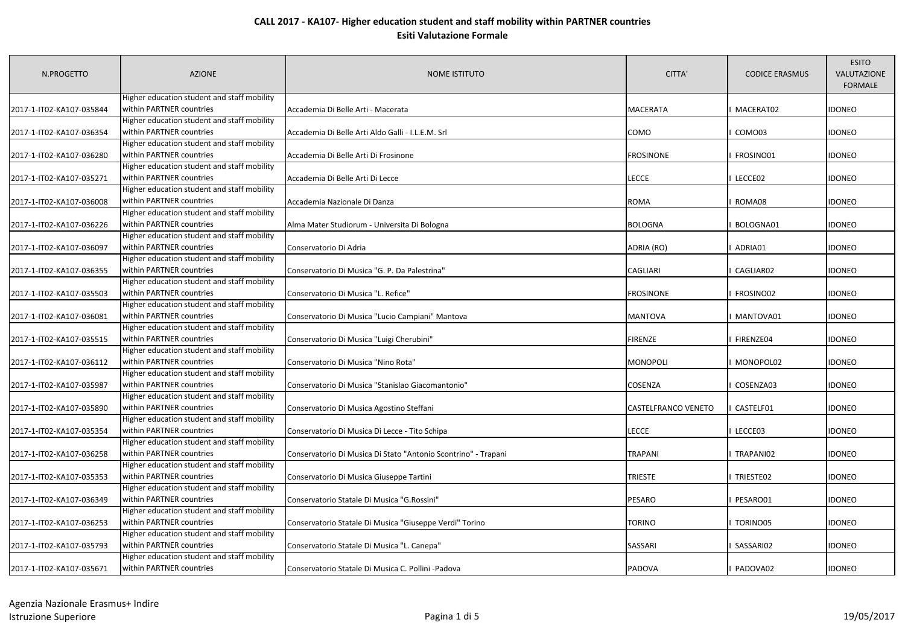| N.PROGETTO               | <b>AZIONE</b>                               | <b>NOME ISTITUTO</b>                                           | CITTA'              | <b>CODICE ERASMUS</b> | <b>ESITO</b><br>VALUTAZIONE<br><b>FORMALE</b> |
|--------------------------|---------------------------------------------|----------------------------------------------------------------|---------------------|-----------------------|-----------------------------------------------|
|                          | Higher education student and staff mobility |                                                                |                     |                       |                                               |
| 2017-1-IT02-KA107-035844 | within PARTNER countries                    | Accademia Di Belle Arti - Macerata                             | <b>MACERATA</b>     | MACERAT02             | idoneo                                        |
|                          | Higher education student and staff mobility |                                                                |                     |                       |                                               |
| 2017-1-IT02-KA107-036354 | within PARTNER countries                    | Accademia Di Belle Arti Aldo Galli - I.L.E.M. Srl              | COMO                | COMO03                | IDONEO                                        |
|                          | Higher education student and staff mobility |                                                                |                     |                       |                                               |
| 2017-1-IT02-KA107-036280 | within PARTNER countries                    | Accademia Di Belle Arti Di Frosinone                           | <b>FROSINONE</b>    | FROSINO01             | <b>IDONEO</b>                                 |
|                          | Higher education student and staff mobility |                                                                |                     |                       |                                               |
| 2017-1-IT02-KA107-035271 | within PARTNER countries                    | Accademia Di Belle Arti Di Lecce                               | LECCE               | LECCE02               | IDONEO                                        |
|                          | Higher education student and staff mobility |                                                                |                     |                       |                                               |
| 2017-1-IT02-KA107-036008 | within PARTNER countries                    | Accademia Nazionale Di Danza                                   | <b>ROMA</b>         | ROMA08                | idoneo                                        |
|                          | Higher education student and staff mobility |                                                                |                     |                       |                                               |
| 2017-1-IT02-KA107-036226 | within PARTNER countries                    | Alma Mater Studiorum - Universita Di Bologna                   | <b>BOLOGNA</b>      | BOLOGNA01             | <b>IDONEO</b>                                 |
|                          | Higher education student and staff mobility |                                                                |                     |                       |                                               |
| 2017-1-IT02-KA107-036097 | within PARTNER countries                    | Conservatorio Di Adria                                         | ADRIA (RO)          | ADRIA01               | <b>IDONEO</b>                                 |
|                          | Higher education student and staff mobility |                                                                |                     |                       |                                               |
| 2017-1-IT02-KA107-036355 | within PARTNER countries                    | Conservatorio Di Musica "G. P. Da Palestrina"                  | CAGLIARI            | CAGLIAR02             | IDONEO                                        |
|                          | Higher education student and staff mobility |                                                                |                     |                       |                                               |
| 2017-1-IT02-KA107-035503 | within PARTNER countries                    | Conservatorio Di Musica "L. Refice"                            | <b>FROSINONE</b>    | FROSINO02             | IDONEO                                        |
|                          | Higher education student and staff mobility |                                                                |                     |                       |                                               |
| 2017-1-IT02-KA107-036081 | within PARTNER countries                    | Conservatorio Di Musica "Lucio Campiani" Mantova               | <b>MANTOVA</b>      | MANTOVA01             | IDONEO                                        |
|                          | Higher education student and staff mobility |                                                                |                     |                       |                                               |
| 2017-1-IT02-KA107-035515 | within PARTNER countries                    | Conservatorio Di Musica "Luigi Cherubini"                      | <b>FIRENZE</b>      | FIRENZE04             | IDONEO                                        |
|                          | Higher education student and staff mobility |                                                                |                     |                       |                                               |
| 2017-1-IT02-KA107-036112 | within PARTNER countries                    | Conservatorio Di Musica "Nino Rota"                            | <b>MONOPOLI</b>     | MONOPOL02             | IDONEO                                        |
|                          | Higher education student and staff mobility |                                                                |                     |                       |                                               |
| 2017-1-IT02-KA107-035987 | within PARTNER countries                    | Conservatorio Di Musica "Stanislao Giacomantonio"              | COSENZA             | COSENZA03             | IDONEO                                        |
|                          | Higher education student and staff mobility |                                                                |                     |                       |                                               |
| 2017-1-IT02-KA107-035890 | within PARTNER countries                    | Conservatorio Di Musica Agostino Steffani                      | CASTELFRANCO VENETO | CASTELF01             | IDONEO                                        |
|                          | Higher education student and staff mobility |                                                                |                     |                       |                                               |
| 2017-1-IT02-KA107-035354 | within PARTNER countries                    | Conservatorio Di Musica Di Lecce - Tito Schipa                 | <b>LECCE</b>        | LECCE03               | IDONEO                                        |
|                          | Higher education student and staff mobility |                                                                |                     |                       |                                               |
| 2017-1-IT02-KA107-036258 | within PARTNER countries                    | Conservatorio Di Musica Di Stato "Antonio Scontrino" - Trapani | <b>TRAPANI</b>      | TRAPANI02             | <b>IDONEO</b>                                 |
|                          | Higher education student and staff mobility |                                                                |                     |                       |                                               |
| 2017-1-IT02-KA107-035353 | within PARTNER countries                    | Conservatorio Di Musica Giuseppe Tartini                       | <b>TRIESTE</b>      | TRIESTE02             | IDONEO                                        |
|                          | Higher education student and staff mobility |                                                                |                     |                       |                                               |
| 2017-1-IT02-KA107-036349 | within PARTNER countries                    | Conservatorio Statale Di Musica "G.Rossini"                    | PESARO              | PESARO01              | IDONEO                                        |
|                          | Higher education student and staff mobility |                                                                |                     |                       |                                               |
| 2017-1-IT02-KA107-036253 | within PARTNER countries                    | Conservatorio Statale Di Musica "Giuseppe Verdi" Torino        | TORINO              | TORINO05              | idoneo                                        |
|                          | Higher education student and staff mobility |                                                                |                     |                       |                                               |
| 2017-1-IT02-KA107-035793 | within PARTNER countries                    | Conservatorio Statale Di Musica "L. Canepa"                    | SASSARI             | SASSARI02             | idoneo                                        |
|                          | Higher education student and staff mobility |                                                                |                     |                       |                                               |
| 2017-1-IT02-KA107-035671 | within PARTNER countries                    | Conservatorio Statale Di Musica C. Pollini -Padova             | <b>PADOVA</b>       | PADOVA02              | <b>IDONEO</b>                                 |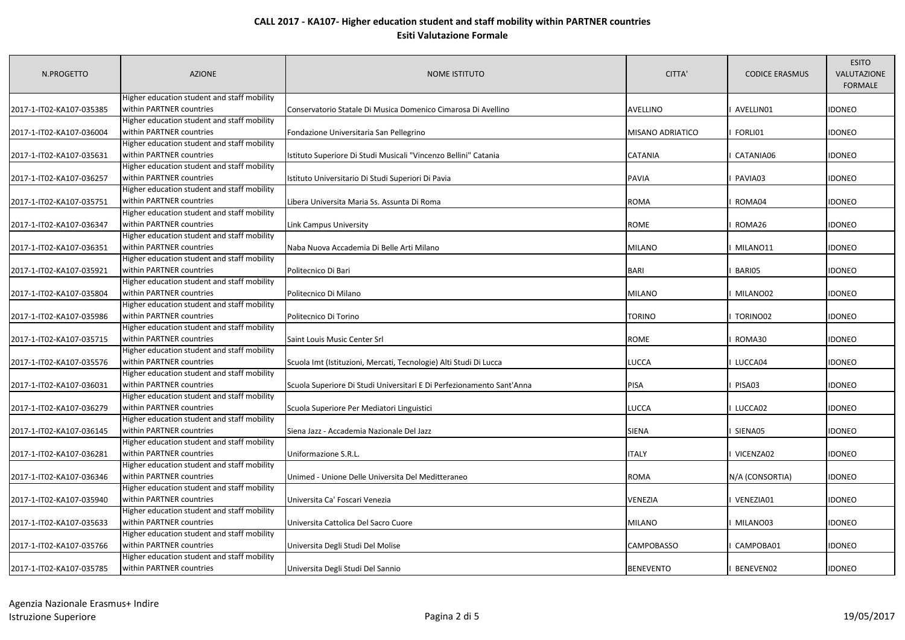| N.PROGETTO               | <b>AZIONE</b>                               | <b>NOME ISTITUTO</b>                                                  | CITTA'                  | <b>CODICE ERASMUS</b> | <b>ESITO</b><br>VALUTAZIONE<br><b>FORMALE</b> |
|--------------------------|---------------------------------------------|-----------------------------------------------------------------------|-------------------------|-----------------------|-----------------------------------------------|
|                          | Higher education student and staff mobility |                                                                       |                         |                       |                                               |
| 2017-1-IT02-KA107-035385 | within PARTNER countries                    | Conservatorio Statale Di Musica Domenico Cimarosa Di Avellino         | AVELLINO                | AVELLIN01             | <b>IDONEO</b>                                 |
|                          | Higher education student and staff mobility |                                                                       |                         |                       |                                               |
| 2017-1-IT02-KA107-036004 | within PARTNER countries                    | Fondazione Universitaria San Pellegrino                               | <b>MISANO ADRIATICO</b> | FORLI01               | <b>IDONEO</b>                                 |
|                          | Higher education student and staff mobility |                                                                       |                         |                       |                                               |
| 2017-1-IT02-KA107-035631 | within PARTNER countries                    | Istituto Superiore Di Studi Musicali "Vincenzo Bellini" Catania       | <b>CATANIA</b>          | CATANIA06             | <b>IDONEO</b>                                 |
|                          | Higher education student and staff mobility |                                                                       |                         |                       |                                               |
| 2017-1-IT02-KA107-036257 | within PARTNER countries                    | Istituto Universitario Di Studi Superiori Di Pavia                    | PAVIA                   | PAVIA03               | <b>IDONEO</b>                                 |
|                          | Higher education student and staff mobility |                                                                       |                         |                       |                                               |
| 2017-1-IT02-KA107-035751 | within PARTNER countries                    | Libera Universita Maria Ss. Assunta Di Roma                           | ROMA                    | ROMA04                | <b>IDONEO</b>                                 |
|                          | Higher education student and staff mobility |                                                                       |                         |                       |                                               |
| 2017-1-IT02-KA107-036347 | within PARTNER countries                    | Link Campus University                                                | ROME                    | ROMA26                | <b>IDONEO</b>                                 |
|                          | Higher education student and staff mobility |                                                                       |                         |                       |                                               |
| 2017-1-IT02-KA107-036351 | within PARTNER countries                    | Naba Nuova Accademia Di Belle Arti Milano                             | <b>MILANO</b>           | MILANO11              | <b>IDONEO</b>                                 |
|                          | Higher education student and staff mobility |                                                                       |                         |                       |                                               |
| 2017-1-IT02-KA107-035921 | within PARTNER countries                    | Politecnico Di Bari                                                   | <b>BARI</b>             | BARI05                | idoneo                                        |
|                          | Higher education student and staff mobility |                                                                       |                         |                       |                                               |
| 2017-1-IT02-KA107-035804 | within PARTNER countries                    | Politecnico Di Milano                                                 | <b>MILANO</b>           | MILANO02              | <b>IDONEO</b>                                 |
|                          | Higher education student and staff mobility |                                                                       |                         |                       |                                               |
| 2017-1-IT02-KA107-035986 | within PARTNER countries                    | Politecnico Di Torino                                                 | <b>TORINO</b>           | TORINO02              | <b>IDONEO</b>                                 |
|                          | Higher education student and staff mobility |                                                                       |                         |                       |                                               |
| 2017-1-IT02-KA107-035715 | within PARTNER countries                    | Saint Louis Music Center Srl                                          | ROME                    | ROMA30                | <b>IDONEO</b>                                 |
|                          | Higher education student and staff mobility |                                                                       |                         |                       |                                               |
| 2017-1-IT02-KA107-035576 | within PARTNER countries                    | Scuola Imt (Istituzioni, Mercati, Tecnologie) Alti Studi Di Lucca     | LUCCA                   | LUCCA04               | <b>IDONEO</b>                                 |
|                          | Higher education student and staff mobility |                                                                       |                         |                       |                                               |
| 2017-1-IT02-KA107-036031 | within PARTNER countries                    | Scuola Superiore Di Studi Universitari E Di Perfezionamento Sant'Anna | PISA                    | PISA03                | <b>IDONEO</b>                                 |
|                          | Higher education student and staff mobility |                                                                       |                         |                       |                                               |
| 2017-1-IT02-KA107-036279 | within PARTNER countries                    | Scuola Superiore Per Mediatori Linguistici                            | LUCCA                   | LUCCA02               | <b>IDONEO</b>                                 |
|                          | Higher education student and staff mobility |                                                                       |                         |                       |                                               |
| 2017-1-IT02-KA107-036145 | within PARTNER countries                    | Siena Jazz - Accademia Nazionale Del Jazz                             | <b>SIENA</b>            | SIENA05               | <b>IDONEO</b>                                 |
|                          | Higher education student and staff mobility |                                                                       |                         |                       |                                               |
| 2017-1-IT02-KA107-036281 | within PARTNER countries                    | Uniformazione S.R.L.                                                  | <b>ITALY</b>            | VICENZA02             | <b>IDONEO</b>                                 |
|                          | Higher education student and staff mobility |                                                                       |                         |                       |                                               |
| 2017-1-IT02-KA107-036346 | within PARTNER countries                    | Unimed - Unione Delle Universita Del Meditteraneo                     | <b>ROMA</b>             | N/A (CONSORTIA)       | <b>IDONEO</b>                                 |
|                          | Higher education student and staff mobility |                                                                       |                         |                       |                                               |
| 2017-1-IT02-KA107-035940 | within PARTNER countries                    | Universita Ca' Foscari Venezia                                        | VENEZIA                 | VENEZIA01             | <b>IDONEO</b>                                 |
|                          | Higher education student and staff mobility |                                                                       |                         |                       |                                               |
| 2017-1-IT02-KA107-035633 | within PARTNER countries                    | Universita Cattolica Del Sacro Cuore                                  | MILANO                  | MILANO03              | <b>IDONEO</b>                                 |
|                          | Higher education student and staff mobility |                                                                       |                         |                       |                                               |
| 2017-1-IT02-KA107-035766 | within PARTNER countries                    | Universita Degli Studi Del Molise                                     | CAMPOBASSO              | CAMPOBA01             | <b>IDONEO</b>                                 |
|                          | Higher education student and staff mobility |                                                                       |                         |                       |                                               |
| 2017-1-IT02-KA107-035785 | within PARTNER countries                    | Universita Degli Studi Del Sannio                                     | <b>BENEVENTO</b>        | BENEVEN02             | <b>IDONEO</b>                                 |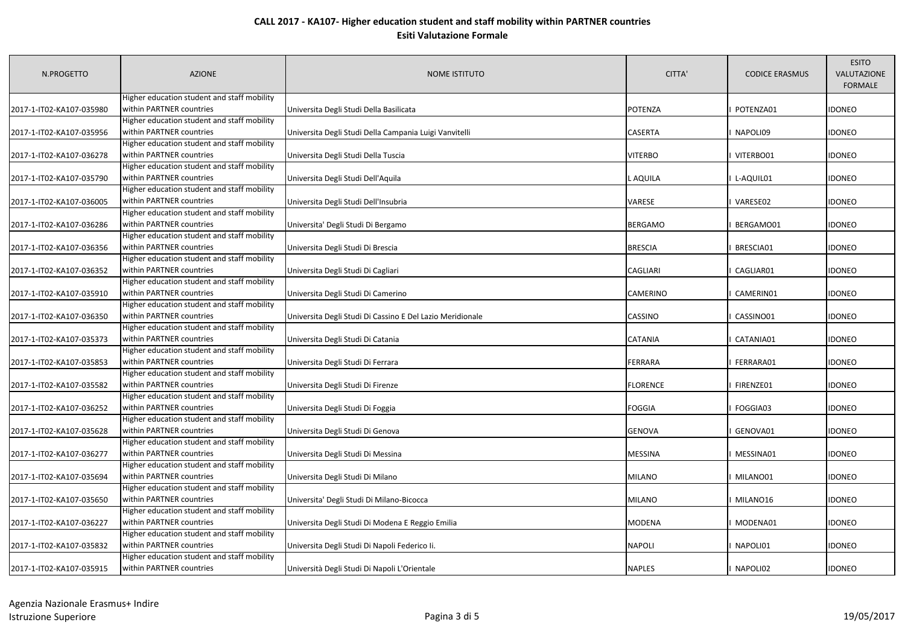| N.PROGETTO               | <b>AZIONE</b>                               | <b>NOME ISTITUTO</b>                                      | CITTA'          | <b>CODICE ERASMUS</b> | <b>ESITO</b><br>VALUTAZIONE<br><b>FORMALE</b> |
|--------------------------|---------------------------------------------|-----------------------------------------------------------|-----------------|-----------------------|-----------------------------------------------|
|                          | Higher education student and staff mobility |                                                           |                 |                       |                                               |
| 2017-1-IT02-KA107-035980 | within PARTNER countries                    | Universita Degli Studi Della Basilicata                   | <b>POTENZA</b>  | POTENZA01             | <b>IDONEO</b>                                 |
|                          | Higher education student and staff mobility |                                                           |                 |                       |                                               |
| 2017-1-IT02-KA107-035956 | within PARTNER countries                    | Universita Degli Studi Della Campania Luigi Vanvitelli    | <b>CASERTA</b>  | NAPOLI09              | <b>IDONEO</b>                                 |
|                          | Higher education student and staff mobility |                                                           |                 |                       |                                               |
| 2017-1-IT02-KA107-036278 | within PARTNER countries                    | Universita Degli Studi Della Tuscia                       | <b>VITERBO</b>  | VITERBO01             | <b>IDONEO</b>                                 |
|                          | Higher education student and staff mobility |                                                           |                 |                       |                                               |
| 2017-1-IT02-KA107-035790 | within PARTNER countries                    | Universita Degli Studi Dell'Aquila                        | L AQUILA        | L-AQUIL01             | <b>IDONEO</b>                                 |
|                          | Higher education student and staff mobility |                                                           |                 |                       |                                               |
| 2017-1-IT02-KA107-036005 | within PARTNER countries                    | Universita Degli Studi Dell'Insubria                      | VARESE          | VARESE02              | <b>IDONEO</b>                                 |
|                          | Higher education student and staff mobility |                                                           |                 |                       |                                               |
| 2017-1-IT02-KA107-036286 | within PARTNER countries                    | Universita' Degli Studi Di Bergamo                        | <b>BERGAMO</b>  | BERGAMO01             | <b>IDONEO</b>                                 |
|                          | Higher education student and staff mobility |                                                           |                 |                       |                                               |
| 2017-1-IT02-KA107-036356 | within PARTNER countries                    | Universita Degli Studi Di Brescia                         | <b>BRESCIA</b>  | BRESCIA01             | <b>IDONEO</b>                                 |
|                          | Higher education student and staff mobility |                                                           |                 |                       |                                               |
| 2017-1-IT02-KA107-036352 | within PARTNER countries                    | Universita Degli Studi Di Cagliari                        | <b>CAGLIARI</b> | CAGLIAR01             | <b>IDONEO</b>                                 |
|                          | Higher education student and staff mobility |                                                           |                 |                       |                                               |
| 2017-1-IT02-KA107-035910 | within PARTNER countries                    | Universita Degli Studi Di Camerino                        | <b>CAMERINO</b> | CAMERIN01             | <b>IDONEO</b>                                 |
|                          | Higher education student and staff mobility |                                                           |                 |                       |                                               |
| 2017-1-IT02-KA107-036350 | within PARTNER countries                    | Universita Degli Studi Di Cassino E Del Lazio Meridionale | <b>CASSINO</b>  | CASSINO01             | <b>IDONEO</b>                                 |
|                          | Higher education student and staff mobility |                                                           |                 |                       |                                               |
| 2017-1-IT02-KA107-035373 | within PARTNER countries                    | Universita Degli Studi Di Catania                         | <b>CATANIA</b>  | CATANIA01             | <b>IDONEO</b>                                 |
|                          | Higher education student and staff mobility |                                                           |                 |                       |                                               |
| 2017-1-IT02-KA107-035853 | within PARTNER countries                    | Universita Degli Studi Di Ferrara                         | FERRARA         | FERRARA01             | <b>IDONEO</b>                                 |
|                          | Higher education student and staff mobility |                                                           |                 |                       |                                               |
| 2017-1-IT02-KA107-035582 | within PARTNER countries                    | Universita Degli Studi Di Firenze                         | <b>FLORENCE</b> | FIRENZE01             | <b>IDONEO</b>                                 |
|                          | Higher education student and staff mobility |                                                           |                 |                       |                                               |
| 2017-1-IT02-KA107-036252 | within PARTNER countries                    | Universita Degli Studi Di Foggia                          | <b>FOGGIA</b>   | FOGGIA03              | <b>IDONEO</b>                                 |
|                          | Higher education student and staff mobility |                                                           |                 |                       |                                               |
| 2017-1-IT02-KA107-035628 | within PARTNER countries                    | Universita Degli Studi Di Genova                          | <b>GENOVA</b>   | GENOVA01              | <b>IDONEO</b>                                 |
|                          | Higher education student and staff mobility |                                                           |                 |                       |                                               |
| 2017-1-IT02-KA107-036277 | within PARTNER countries                    | Universita Degli Studi Di Messina                         | <b>MESSINA</b>  | MESSINA01             | idoneo                                        |
|                          | Higher education student and staff mobility |                                                           |                 |                       |                                               |
| 2017-1-IT02-KA107-035694 | within PARTNER countries                    | Universita Degli Studi Di Milano                          | <b>MILANO</b>   | MILANO01              | <b>IDONEO</b>                                 |
|                          | Higher education student and staff mobility |                                                           |                 |                       |                                               |
| 2017-1-IT02-KA107-035650 | within PARTNER countries                    | Universita' Degli Studi Di Milano-Bicocca                 | <b>MILANO</b>   | MILANO16              | <b>IDONEO</b>                                 |
|                          | Higher education student and staff mobility |                                                           |                 |                       |                                               |
| 2017-1-IT02-KA107-036227 | within PARTNER countries                    | Universita Degli Studi Di Modena E Reggio Emilia          | <b>MODENA</b>   | MODENA01              | <b>IDONEO</b>                                 |
|                          | Higher education student and staff mobility |                                                           |                 |                       |                                               |
| 2017-1-IT02-KA107-035832 | within PARTNER countries                    | Universita Degli Studi Di Napoli Federico Ii.             | <b>NAPOLI</b>   | NAPOLI01              | <b>IDONEO</b>                                 |
|                          | Higher education student and staff mobility |                                                           |                 |                       |                                               |
| 2017-1-IT02-KA107-035915 | within PARTNER countries                    | Università Degli Studi Di Napoli L'Orientale              | <b>NAPLES</b>   | I NAPOLI02            | <b>IDONEO</b>                                 |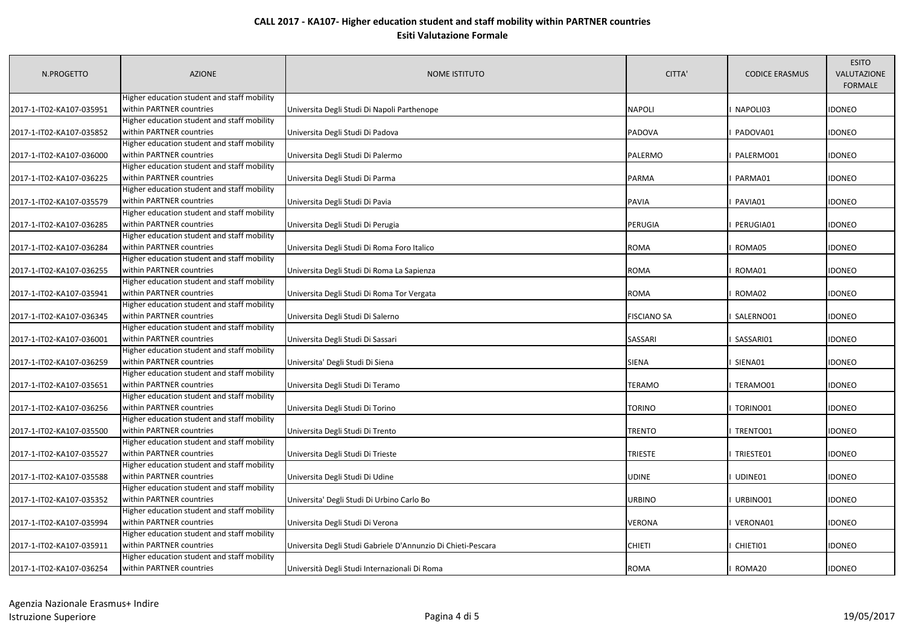| N.PROGETTO               | <b>AZIONE</b>                               | NOME ISTITUTO                                                | CITTA'             | <b>CODICE ERASMUS</b> | <b>ESITO</b><br>VALUTAZIONE<br><b>FORMALE</b> |
|--------------------------|---------------------------------------------|--------------------------------------------------------------|--------------------|-----------------------|-----------------------------------------------|
|                          | Higher education student and staff mobility |                                                              |                    |                       |                                               |
| 2017-1-IT02-KA107-035951 | within PARTNER countries                    | Universita Degli Studi Di Napoli Parthenope                  | <b>NAPOLI</b>      | NAPOLI03              | IDONEO                                        |
|                          | Higher education student and staff mobility |                                                              |                    |                       |                                               |
| 2017-1-IT02-KA107-035852 | within PARTNER countries                    | Universita Degli Studi Di Padova                             | <b>PADOVA</b>      | PADOVA01              | IDONEO                                        |
|                          | Higher education student and staff mobility |                                                              |                    |                       |                                               |
| 2017-1-IT02-KA107-036000 | within PARTNER countries                    | Universita Degli Studi Di Palermo                            | PALERMO            | PALERMO01             | IDONEO                                        |
|                          | Higher education student and staff mobility |                                                              |                    |                       |                                               |
| 2017-1-IT02-KA107-036225 | within PARTNER countries                    | Universita Degli Studi Di Parma                              | <b>PARMA</b>       | PARMA01               | IDONEO                                        |
|                          | Higher education student and staff mobility |                                                              |                    |                       |                                               |
| 2017-1-IT02-KA107-035579 | within PARTNER countries                    | Universita Degli Studi Di Pavia                              | <b>PAVIA</b>       | PAVIA01               | idoneo                                        |
|                          | Higher education student and staff mobility |                                                              |                    |                       |                                               |
| 2017-1-IT02-KA107-036285 | within PARTNER countries                    | Universita Degli Studi Di Perugia                            | PERUGIA            | PERUGIA01             | <b>IDONEO</b>                                 |
|                          | Higher education student and staff mobility |                                                              |                    |                       |                                               |
| 2017-1-IT02-KA107-036284 | within PARTNER countries                    | Universita Degli Studi Di Roma Foro Italico                  | ROMA               | ROMA05                | idoneo                                        |
|                          | Higher education student and staff mobility |                                                              |                    |                       |                                               |
| 2017-1-IT02-KA107-036255 | within PARTNER countries                    | Universita Degli Studi Di Roma La Sapienza                   | <b>ROMA</b>        | ROMA01                | idoneo                                        |
|                          | Higher education student and staff mobility |                                                              |                    |                       |                                               |
| 2017-1-IT02-KA107-035941 | within PARTNER countries                    | Universita Degli Studi Di Roma Tor Vergata                   | <b>ROMA</b>        | ROMA02                | idoneo                                        |
|                          | Higher education student and staff mobility |                                                              |                    |                       |                                               |
| 2017-1-IT02-KA107-036345 | within PARTNER countries                    | Universita Degli Studi Di Salerno                            | <b>FISCIANO SA</b> | SALERNO01             | idoneo                                        |
|                          | Higher education student and staff mobility |                                                              |                    |                       |                                               |
| 2017-1-IT02-KA107-036001 | within PARTNER countries                    | Universita Degli Studi Di Sassari                            | SASSARI            | SASSARI01             | IDONEO                                        |
|                          | Higher education student and staff mobility |                                                              |                    |                       |                                               |
| 2017-1-IT02-KA107-036259 | within PARTNER countries                    | Universita' Degli Studi Di Siena                             | <b>SIENA</b>       | SIENA01               | <b>IDONEO</b>                                 |
|                          | Higher education student and staff mobility |                                                              |                    |                       |                                               |
| 2017-1-IT02-KA107-035651 | within PARTNER countries                    | Universita Degli Studi Di Teramo                             | <b>TERAMO</b>      | TERAMO01              | IDONEO                                        |
|                          | Higher education student and staff mobility |                                                              |                    |                       |                                               |
| 2017-1-IT02-KA107-036256 | within PARTNER countries                    | Universita Degli Studi Di Torino                             | <b>TORINO</b>      | TORINO01              | IDONEO                                        |
|                          | Higher education student and staff mobility |                                                              |                    |                       |                                               |
| 2017-1-IT02-KA107-035500 | within PARTNER countries                    | Universita Degli Studi Di Trento                             | <b>TRENTO</b>      | TRENTO01              | idoneo                                        |
|                          | Higher education student and staff mobility |                                                              |                    |                       |                                               |
| 2017-1-IT02-KA107-035527 | within PARTNER countries                    | Universita Degli Studi Di Trieste                            | <b>TRIESTE</b>     | TRIESTE01             | IDONEO                                        |
|                          | Higher education student and staff mobility |                                                              |                    |                       |                                               |
| 2017-1-IT02-KA107-035588 | within PARTNER countries                    | Universita Degli Studi Di Udine                              | UDINE              | UDINE01               | IDONEO                                        |
|                          | Higher education student and staff mobility |                                                              |                    |                       |                                               |
| 2017-1-IT02-KA107-035352 | within PARTNER countries                    | Universita' Degli Studi Di Urbino Carlo Bo                   | <b>URBINO</b>      | URBINO01              | idoneo                                        |
|                          | Higher education student and staff mobility |                                                              |                    |                       |                                               |
| 2017-1-IT02-KA107-035994 | within PARTNER countries                    | Universita Degli Studi Di Verona                             | <b>VERONA</b>      | VERONA01              | <b>IDONEO</b>                                 |
|                          | Higher education student and staff mobility |                                                              |                    |                       |                                               |
| 2017-1-IT02-KA107-035911 | within PARTNER countries                    | Universita Degli Studi Gabriele D'Annunzio Di Chieti-Pescara | <b>CHIETI</b>      | CHIETI01              | IDONEO                                        |
|                          | Higher education student and staff mobility |                                                              |                    |                       |                                               |
| 2017-1-IT02-KA107-036254 | within PARTNER countries                    | Università Degli Studi Internazionali Di Roma                | <b>ROMA</b>        | ROMA20                | <b>IDONEO</b>                                 |